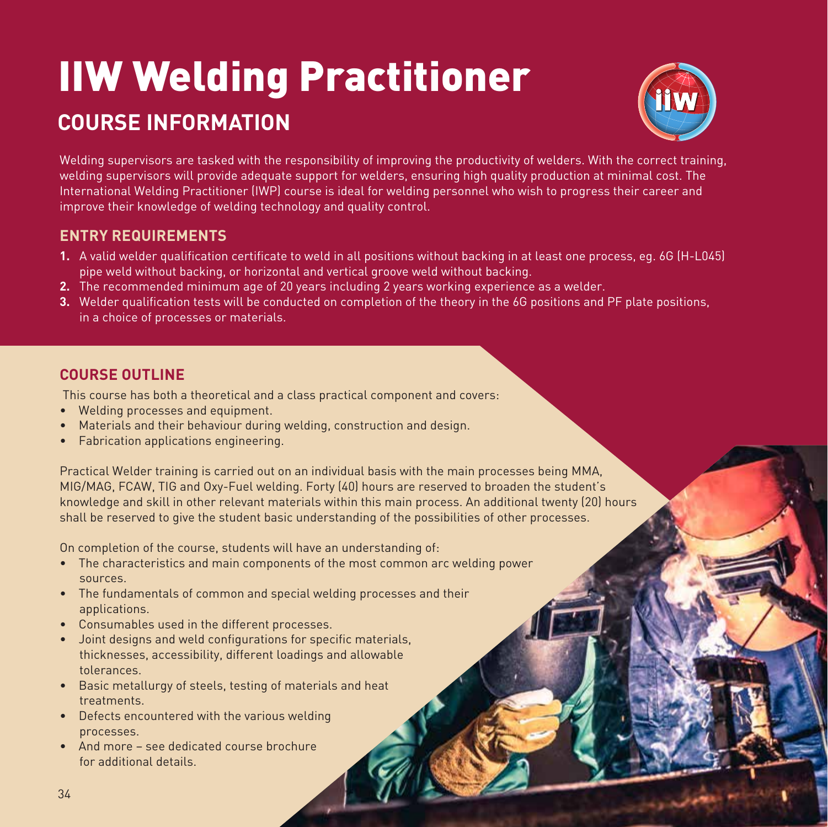# IIW Welding Practitioner **COURSE INFORMATION**



Welding supervisors are tasked with the responsibility of improving the productivity of welders. With the correct training, welding supervisors will provide adequate support for welders, ensuring high quality production at minimal cost. The International Welding Practitioner (IWP) course is ideal for welding personnel who wish to progress their career and improve their knowledge of welding technology and quality control.

# **ENTRY REQUIREMENTS**

- **1.** A valid welder qualification certificate to weld in all positions without backing in at least one process, eg. 6G (H-L045) pipe weld without backing, or horizontal and vertical groove weld without backing.
- **2.** The recommended minimum age of 20 years including 2 years working experience as a welder.
- **3.** Welder qualification tests will be conducted on completion of the theory in the 6G positions and PF plate positions, in a choice of processes or materials.

# **COURSE OUTLINE**

This course has both a theoretical and a class practical component and covers:

- Welding processes and equipment.
- Materials and their behaviour during welding, construction and design.
- Fabrication applications engineering.

Practical Welder training is carried out on an individual basis with the main processes being MMA, MIG/MAG, FCAW, TIG and Oxy-Fuel welding. Forty (40) hours are reserved to broaden the student's knowledge and skill in other relevant materials within this main process. An additional twenty (20) hours shall be reserved to give the student basic understanding of the possibilities of other processes.

On completion of the course, students will have an understanding of:

- The characteristics and main components of the most common arc welding power sources.
- The fundamentals of common and special welding processes and their applications.
- Consumables used in the different processes.
- Joint designs and weld configurations for specific materials, thicknesses, accessibility, different loadings and allowable tolerances.
- Basic metallurgy of steels, testing of materials and heat treatments.
- Defects encountered with the various welding processes.
- And more see dedicated course brochure for additional details.